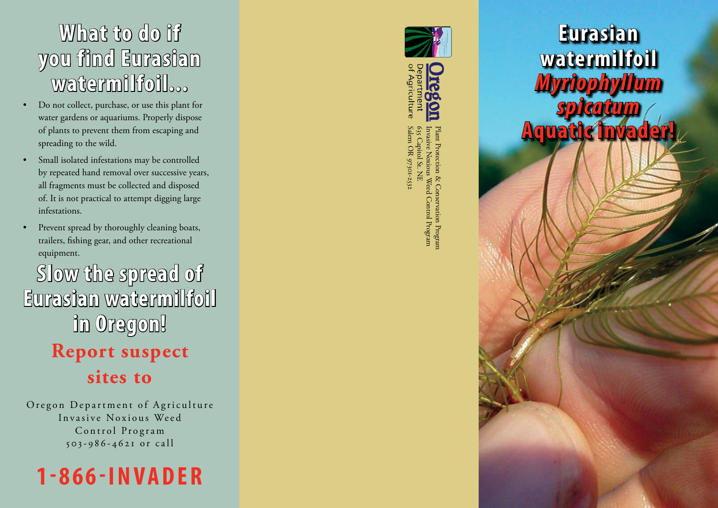## **What to do if you find Eurasian watermilfoil...**

- Do not collect, purchase, or use this plant for water gardens or aquariums. Properly dispose of plants to prevent them from escaping and spreading to the wild.
- Small isolated infestations may be controlled by repeated hand removal over successive years, all fragments must be collected and disposed of. It is not practical to attempt digging large infestations.
- Prevent spread by thoroughly cleaning boats, trailers, fishing gear, and other recreational equipment.

## **Slow the spread of Eurasian watermilfoil in Oregon! Report suspect**

**sites to**

Oregon Department of Agriculture Invasive Noxious Weed Control Program 5 0 3 - 9 8 6 - 4 6 2 1 o r c a l l







Salem OR 97301-253 635 Capitol St. NE Invasive Noxious Weed Control Program Plant Protection & Conservation Program Salem OR 97301-2532 635 Capitol St. NE Invasive Noxious Weed Control Program Plant Protection & Conservation Program

**Eurasian watermilfoil** *Myriophyll spicatum* **Aquatic i**